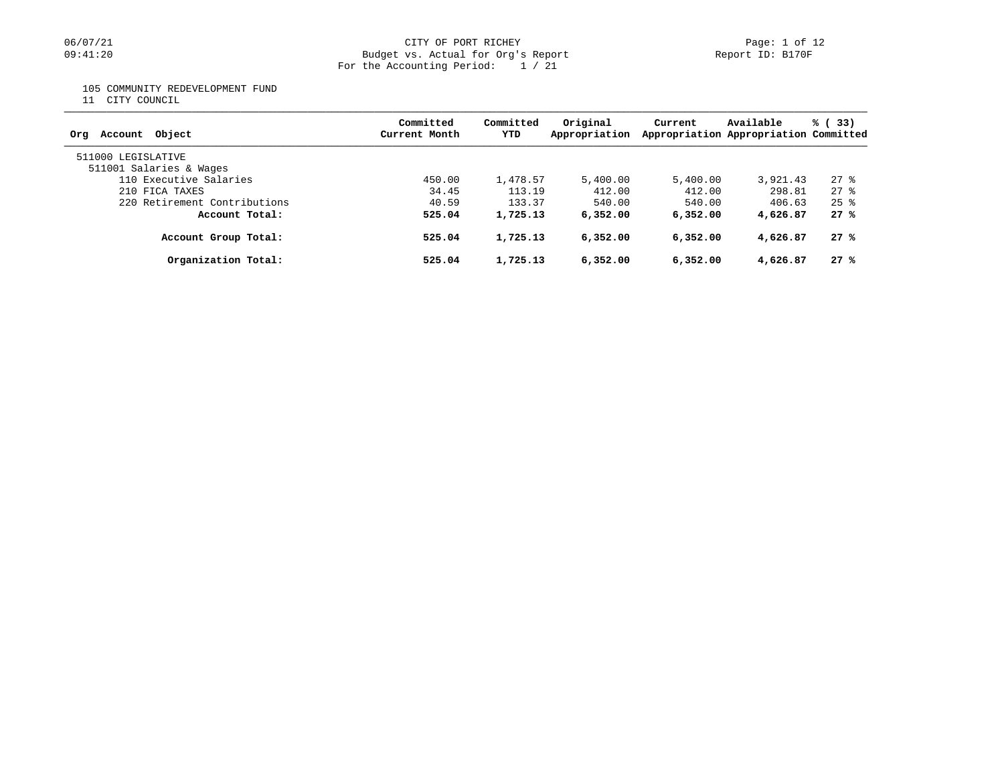#### 06/07/21 CITY OF PORT RICHEY Page: 1 of 12 09:41:20 Budget vs. Actual for Org's Report Report ID: B170F For the Accounting Period: 1 / 21

105 COMMUNITY REDEVELOPMENT FUND

11 CITY COUNCIL

| Account Object<br>Ora                         | Committed<br>Current Month | Committed<br>YTD | Original<br>Appropriation | Current  | Available<br>Appropriation Appropriation Committed | % (33)          |
|-----------------------------------------------|----------------------------|------------------|---------------------------|----------|----------------------------------------------------|-----------------|
| 511000 LEGISLATIVE<br>511001 Salaries & Wages |                            |                  |                           |          |                                                    |                 |
| 110 Executive Salaries                        | 450.00                     | 1,478.57         | 5,400.00                  | 5,400.00 | 3,921.43                                           | $27$ %          |
| 210 FICA TAXES                                | 34.45                      | 113.19           | 412.00                    | 412.00   | 298.81                                             | $27$ $%$        |
| 220 Retirement Contributions                  | 40.59                      | 133.37           | 540.00                    | 540.00   | 406.63                                             | $2.5$ $\approx$ |
| Account Total:                                | 525.04                     | 1,725.13         | 6,352,00                  | 6,352,00 | 4,626.87                                           | 27%             |
| Account Group Total:                          | 525.04                     | 1,725.13         | 6,352,00                  | 6,352,00 | 4,626.87                                           | 27%             |
| Organization Total:                           | 525.04                     | 1,725.13         | 6,352.00                  | 6,352.00 | 4,626.87                                           | 27%             |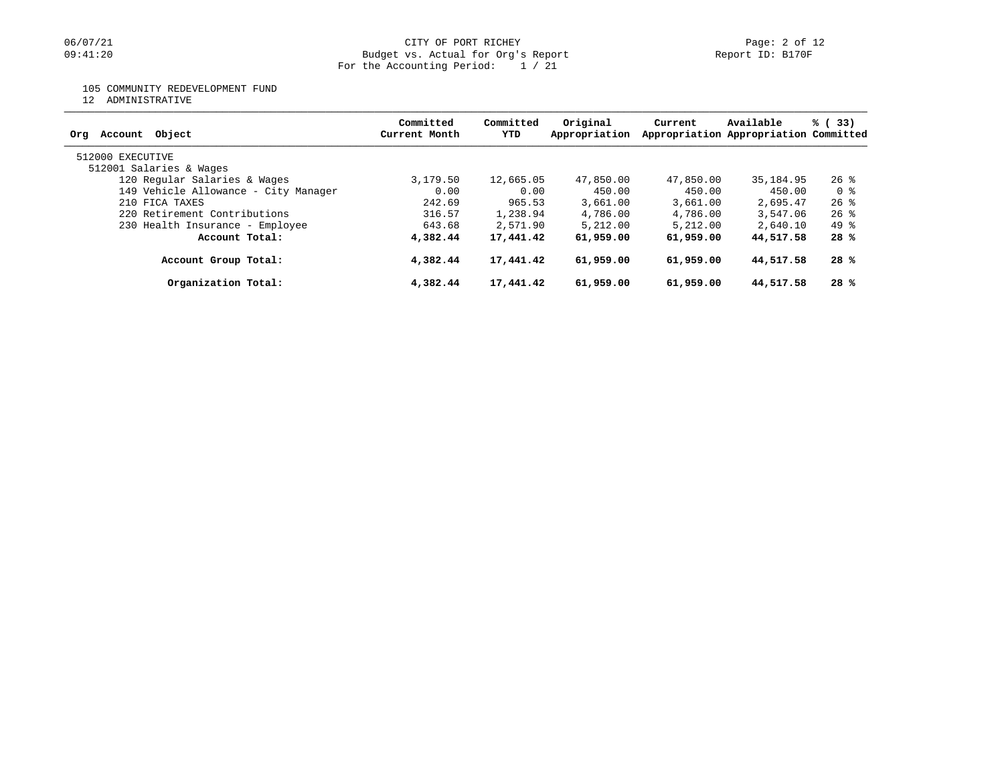#### 06/07/21 CITY OF PORT RICHEY Page: 2 of 12 09:41:20 Budget vs. Actual for Org's Report Report ID: B170F For the Accounting Period: 1 / 21

### 105 COMMUNITY REDEVELOPMENT FUND

12 ADMINISTRATIVE

| Object<br>Org<br>Account             | Committed<br>Current Month | Committed<br>YTD | Original<br>Appropriation | Current   | Available<br>Appropriation Appropriation Committed | % (33) |
|--------------------------------------|----------------------------|------------------|---------------------------|-----------|----------------------------------------------------|--------|
| 512000 EXECUTIVE                     |                            |                  |                           |           |                                                    |        |
| 512001 Salaries & Wages              |                            |                  |                           |           |                                                    |        |
| 120 Regular Salaries & Wages         | 3,179.50                   | 12,665.05        | 47,850.00                 | 47,850.00 | 35,184.95                                          | $26$ % |
| 149 Vehicle Allowance - City Manager | 0.00                       | 0.00             | 450.00                    | 450.00    | 450.00                                             | 0 %    |
| 210 FICA TAXES                       | 242.69                     | 965.53           | 3,661.00                  | 3,661.00  | 2,695.47                                           | $26$ % |
| 220 Retirement Contributions         | 316.57                     | 1,238.94         | 4,786.00                  | 4,786.00  | 3,547.06                                           | $26$ % |
| 230 Health Insurance - Employee      | 643.68                     | 2,571.90         | 5,212.00                  | 5,212.00  | 2,640.10                                           | 49 %   |
| Account Total:                       | 4,382.44                   | 17,441.42        | 61,959.00                 | 61,959.00 | 44,517.58                                          | 28 %   |
| Account Group Total:                 | 4,382.44                   | 17,441.42        | 61,959.00                 | 61,959.00 | 44,517.58                                          | 28 %   |
| Organization Total:                  | 4,382.44                   | 17,441.42        | 61,959.00                 | 61,959.00 | 44,517.58                                          | 28 %   |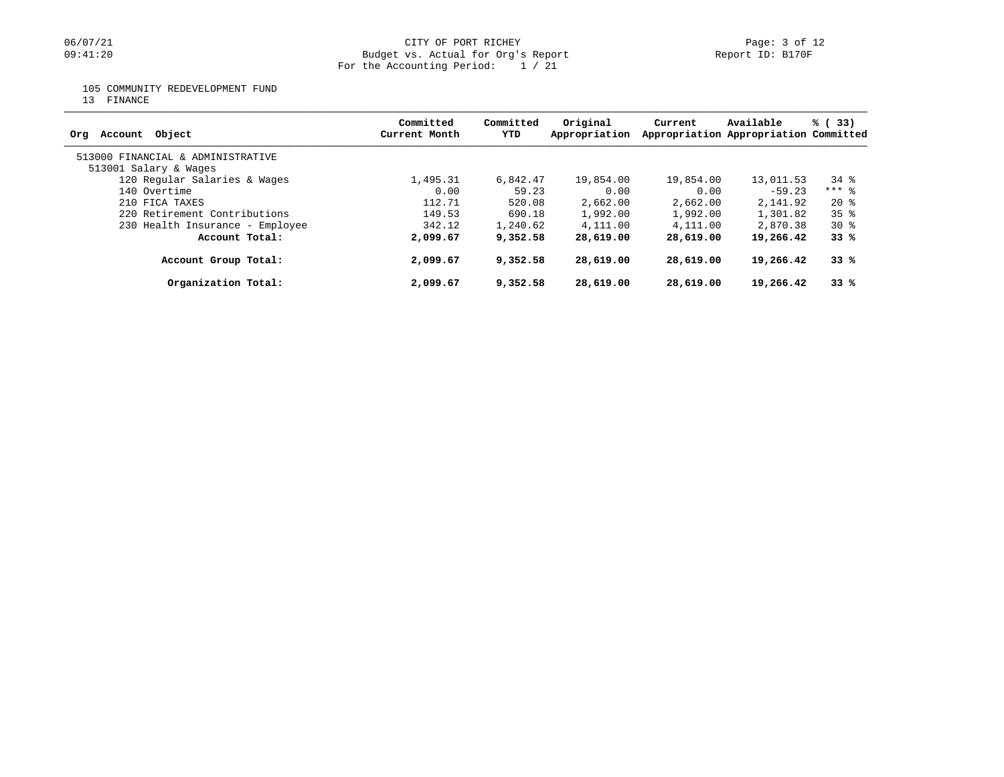# 06/07/21 CITY OF PORT RICHEY Page: 3 of 12<br>
Budget vs. Actual for Org's Report Page: 1 Page: 3 of 12<br>
Page: 3 of 12 Budget vs. Actual for Org's Report For the Accounting Period: 1 / 21

105 COMMUNITY REDEVELOPMENT FUND

13 FINANCE

| Account Object<br>Orq             | Committed<br>Current Month | Committed<br>YTD | Original<br>Appropriation | Current   | Available<br>Appropriation Appropriation Committed | % (33)          |
|-----------------------------------|----------------------------|------------------|---------------------------|-----------|----------------------------------------------------|-----------------|
| 513000 FINANCIAL & ADMINISTRATIVE |                            |                  |                           |           |                                                    |                 |
| 513001 Salary & Wages             |                            |                  |                           |           |                                                    |                 |
| 120 Regular Salaries & Wages      | 1,495.31                   | 6,842.47         | 19,854.00                 | 19,854.00 | 13,011.53                                          | 34 %            |
| 140 Overtime                      | 0.00                       | 59.23            | 0.00                      | 0.00      | $-59.23$                                           | $***$ 8         |
| 210 FICA TAXES                    | 112.71                     | 520.08           | 2,662.00                  | 2,662.00  | 2,141.92                                           | $20*$           |
| 220 Retirement Contributions      | 149.53                     | 690.18           | 1,992.00                  | 1,992.00  | 1,301.82                                           | 35 <sup>8</sup> |
| 230 Health Insurance - Employee   | 342.12                     | 1,240.62         | 4,111.00                  | 4,111.00  | 2,870.38                                           | $30*$           |
| Account Total:                    | 2,099.67                   | 9,352.58         | 28,619.00                 | 28,619.00 | 19,266.42                                          | 33%             |
| Account Group Total:              | 2,099.67                   | 9,352.58         | 28,619.00                 | 28,619.00 | 19,266.42                                          | 33%             |
| Organization Total:               | 2,099.67                   | 9,352.58         | 28,619.00                 | 28,619.00 | 19,266.42                                          | 33%             |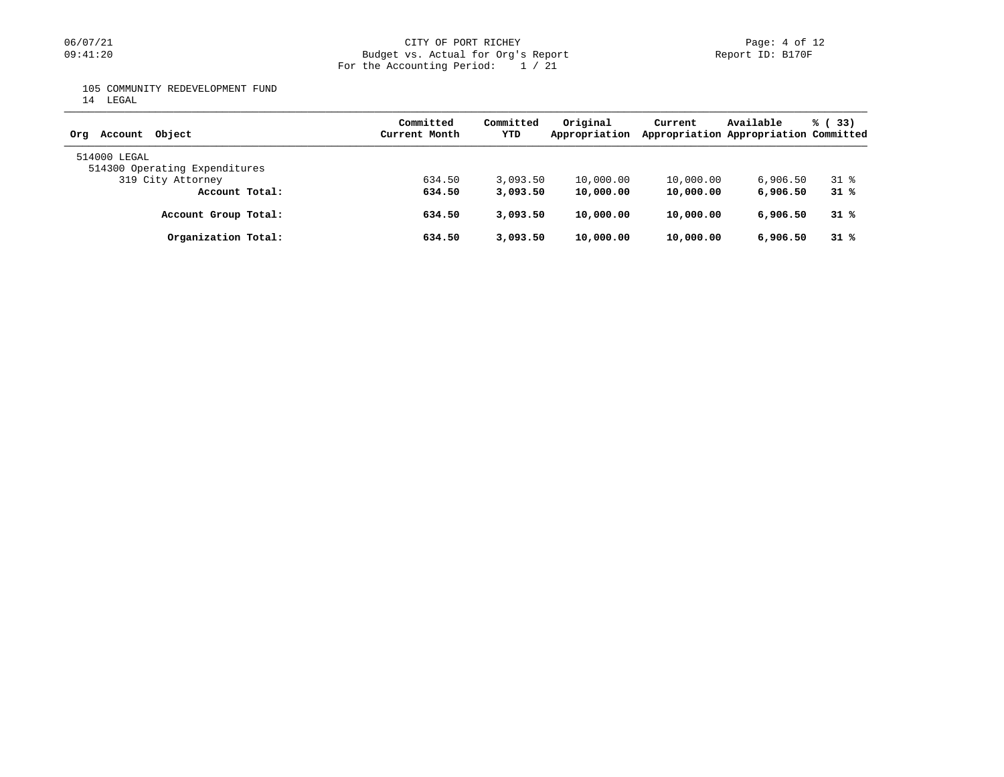# 06/07/21 CITY OF PORT RICHEY Page: 4 of 12<br>
Budget vs. Actual for Org's Report Page: 4 Of 12<br>
Page: 4 of 12<br>
Report ID: B170F Budget vs. Actual for Org's Report For the Accounting Period: 1 / 21

105 COMMUNITY REDEVELOPMENT FUND

14 LEGAL

| Account Object<br>Orq         | Committed<br>Current Month | Committed<br>YTD | Original<br>Appropriation | Current   | Available<br>Appropriation Appropriation Committed | % (33) |
|-------------------------------|----------------------------|------------------|---------------------------|-----------|----------------------------------------------------|--------|
| 514000 LEGAL                  |                            |                  |                           |           |                                                    |        |
| 514300 Operating Expenditures |                            |                  |                           |           |                                                    |        |
| 319 City Attorney             | 634.50                     | 3,093.50         | 10,000.00                 | 10,000.00 | 6,906.50                                           | 31 %   |
| Account Total:                | 634.50                     | 3,093.50         | 10,000.00                 | 10,000.00 | 6,906.50                                           | 31 %   |
| Account Group Total:          | 634.50                     | 3,093.50         | 10,000.00                 | 10,000.00 | 6,906.50                                           | 31 %   |
| Organization Total:           | 634.50                     | 3,093.50         | 10,000.00                 | 10,000.00 | 6,906.50                                           | 31 %   |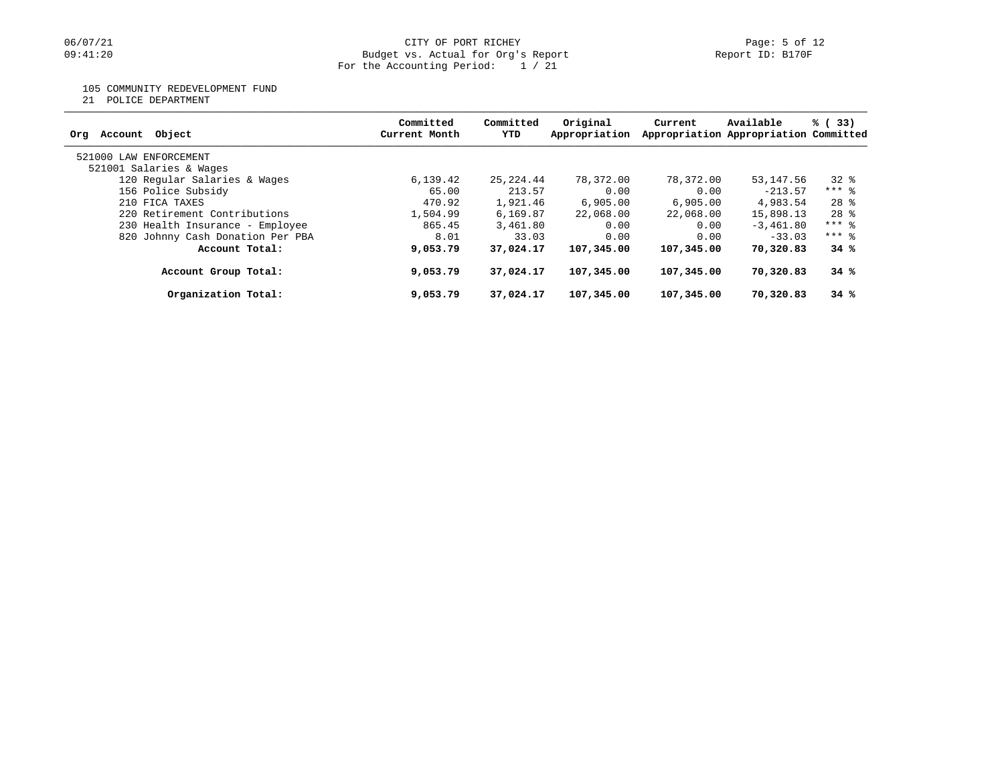#### 06/07/21 CITY OF PORT RICHEY Page: 5 of 12 09:41:20 Budget vs. Actual for Org's Report Report ID: B170F For the Accounting Period: 1 / 21

### 105 COMMUNITY REDEVELOPMENT FUND

21 POLICE DEPARTMENT

| Account Object<br>Orq            | Committed<br>Current Month | Committed<br>YTD | Original<br>Appropriation | Current    | Available<br>Appropriation Appropriation Committed | % (33)  |
|----------------------------------|----------------------------|------------------|---------------------------|------------|----------------------------------------------------|---------|
| 521000 LAW ENFORCEMENT           |                            |                  |                           |            |                                                    |         |
| 521001 Salaries & Wages          |                            |                  |                           |            |                                                    |         |
| 120 Regular Salaries & Wages     | 6,139.42                   | 25,224.44        | 78,372.00                 | 78,372.00  | 53,147.56                                          | 32 %    |
| 156 Police Subsidy               | 65.00                      | 213.57           | 0.00                      | 0.00       | $-213.57$                                          | $***$ 8 |
| 210 FICA TAXES                   | 470.92                     | 1,921.46         | 6,905,00                  | 6,905,00   | 4,983.54                                           | $28$ %  |
| 220 Retirement Contributions     | 1,504.99                   | 6,169.87         | 22,068.00                 | 22,068,00  | 15,898.13                                          | $28$ %  |
| 230 Health Insurance - Employee  | 865.45                     | 3,461.80         | 0.00                      | 0.00       | $-3,461,80$                                        | $***$ 8 |
| 820 Johnny Cash Donation Per PBA | 8.01                       | 33.03            | 0.00                      | 0.00       | $-33.03$                                           | $***$ 8 |
| Account Total:                   | 9,053.79                   | 37,024.17        | 107,345.00                | 107,345,00 | 70,320.83                                          | 34%     |
| Account Group Total:             | 9,053.79                   | 37,024.17        | 107,345.00                | 107,345,00 | 70,320.83                                          | 34%     |
| Organization Total:              | 9,053.79                   | 37,024.17        | 107,345.00                | 107,345,00 | 70,320.83                                          | 34%     |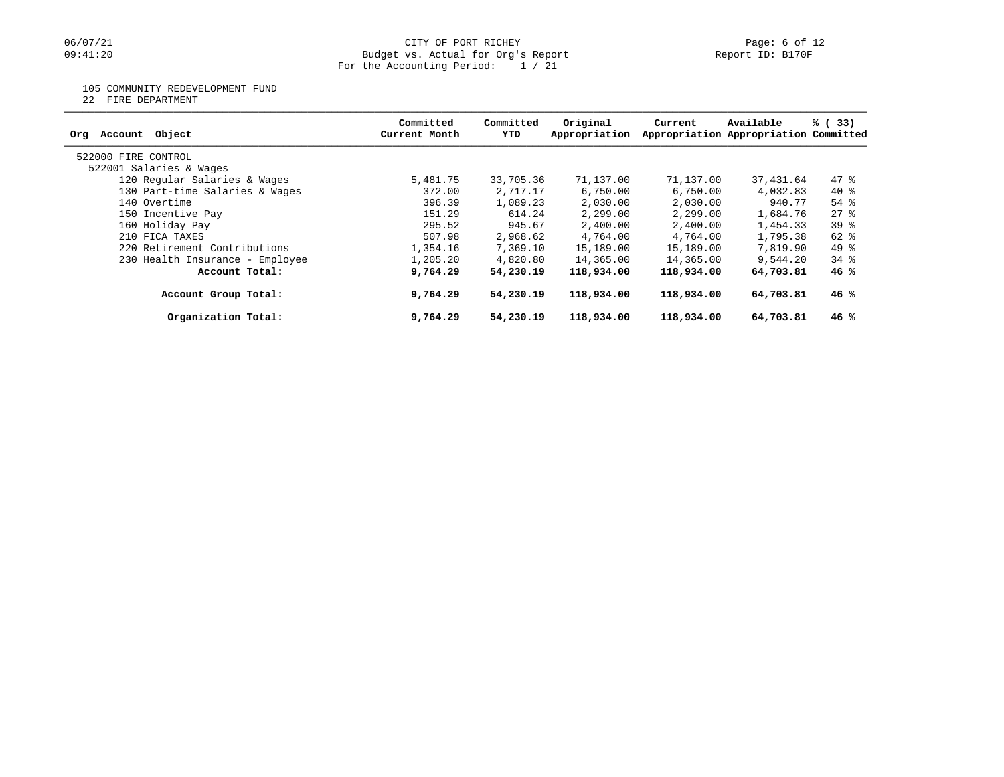# 06/07/21 CITY OF PORT RICHEY Page: 6 of 12<br>
Budget vs. Actual for Org's Report Page: 6 Of 12<br>
Page: 6 of 12<br>
Report ID: B170F Budget vs. Actual for Org's Report For the Accounting Period: 1 / 21

### 105 COMMUNITY REDEVELOPMENT FUND

22 FIRE DEPARTMENT

| Object<br>Account<br>Orq        | Committed<br>Current Month | Committed<br>YTD | Original<br>Appropriation | Current    | Available<br>Appropriation Appropriation Committed | % (33)   |
|---------------------------------|----------------------------|------------------|---------------------------|------------|----------------------------------------------------|----------|
| 522000 FIRE CONTROL             |                            |                  |                           |            |                                                    |          |
| 522001 Salaries & Wages         |                            |                  |                           |            |                                                    |          |
| 120 Regular Salaries & Wages    | 5,481.75                   | 33,705.36        | 71,137.00                 | 71,137.00  | 37,431.64                                          | 47.8     |
| 130 Part-time Salaries & Wages  | 372.00                     | 2,717.17         | 6,750.00                  | 6,750.00   | 4,032.83                                           | $40*$    |
| 140 Overtime                    | 396.39                     | 1,089.23         | 2,030.00                  | 2,030.00   | 940.77                                             | $54$ $%$ |
| 150 Incentive Pay               | 151.29                     | 614.24           | 2,299.00                  | 2,299.00   | 1,684.76                                           | 278      |
| 160 Holiday Pay                 | 295.52                     | 945.67           | 2,400.00                  | 2,400.00   | 1,454.33                                           | $39*$    |
| 210 FICA TAXES                  | 507.98                     | 2,968.62         | 4,764.00                  | 4,764.00   | 1,795.38                                           | 62 %     |
| 220 Retirement Contributions    | 1,354.16                   | 7,369.10         | 15,189.00                 | 15,189.00  | 7,819.90                                           | 49 %     |
| 230 Health Insurance - Employee | 1,205.20                   | 4,820.80         | 14,365.00                 | 14,365.00  | 9,544.20                                           | $34$ $%$ |
| Account Total:                  | 9,764.29                   | 54,230.19        | 118,934.00                | 118,934.00 | 64,703.81                                          | 46%      |
| Account Group Total:            | 9,764.29                   | 54,230.19        | 118,934.00                | 118,934.00 | 64,703.81                                          | 46%      |
| Organization Total:             | 9,764.29                   | 54,230.19        | 118,934.00                | 118,934.00 | 64,703.81                                          | 46%      |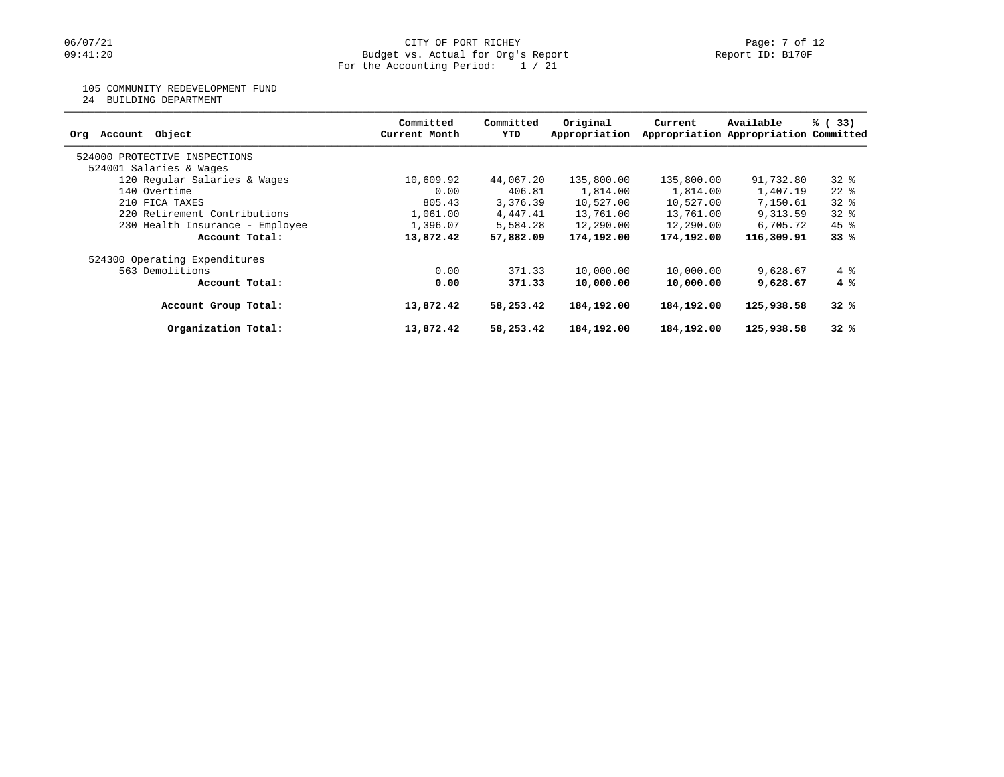# 105 COMMUNITY REDEVELOPMENT FUND

24 BUILDING DEPARTMENT

| Object<br>Account<br>Org        | Committed<br>Current Month | Committed<br>YTD | Original<br>Appropriation | Current    | Available<br>Appropriation Appropriation Committed | % (33)       |
|---------------------------------|----------------------------|------------------|---------------------------|------------|----------------------------------------------------|--------------|
| 524000 PROTECTIVE INSPECTIONS   |                            |                  |                           |            |                                                    |              |
| 524001 Salaries & Wages         |                            |                  |                           |            |                                                    |              |
| 120 Regular Salaries & Wages    | 10,609.92                  | 44,067.20        | 135,800.00                | 135,800.00 | 91,732.80                                          | 328          |
| 140 Overtime                    | 0.00                       | 406.81           | 1,814.00                  | 1,814.00   | 1,407.19                                           | $22$ $%$     |
| 210 FICA TAXES                  | 805.43                     | 3,376.39         | 10,527.00                 | 10,527.00  | 7,150.61                                           | $32*$        |
| 220 Retirement Contributions    | 1,061.00                   | 4,447.41         | 13,761.00                 | 13,761.00  | 9,313.59                                           | $32*$        |
| 230 Health Insurance - Employee | 1,396.07                   | 5,584.28         | 12,290.00                 | 12,290.00  | 6,705.72                                           | $45$ %       |
| Account Total:                  | 13,872.42                  | 57,882.09        | 174,192.00                | 174,192.00 | 116,309.91                                         | 33%          |
| 524300 Operating Expenditures   |                            |                  |                           |            |                                                    |              |
| 563 Demolitions                 | 0.00                       | 371.33           | 10,000.00                 | 10,000.00  | 9,628.67                                           | $4\degree$   |
| Account Total:                  | 0.00                       | 371.33           | 10,000.00                 | 10,000.00  | 9,628.67                                           | $4 \text{ }$ |
| Account Group Total:            | 13,872.42                  | 58,253.42        | 184,192.00                | 184,192.00 | 125,938.58                                         | 32%          |
| Organization Total:             | 13,872.42                  | 58,253.42        | 184,192.00                | 184,192.00 | 125,938.58                                         | 32%          |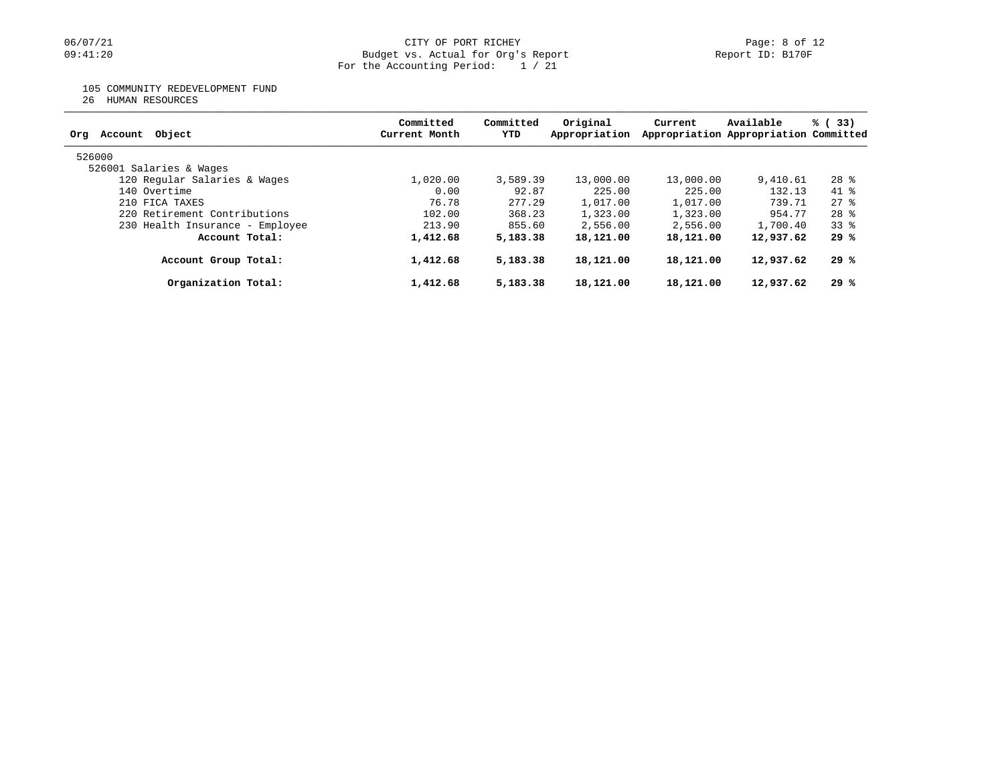## 06/07/21 CITY OF PORT RICHEY Page: 8 of 12<br>
09:41:20 Budget vs. Actual for Org's Report (Page: 19 of 12 Page: 8 of 12 Budget vs. Actual for Org's Report Budget vs. Actual for Org's Report For the Accounting Period: 1 / 21

# 105 COMMUNITY REDEVELOPMENT FUND

26 HUMAN RESOURCES

| Committed<br>Current Month | Committed<br>YTD | Original<br>Appropriation | Current                        | Available | % (33)                                                                                                                    |
|----------------------------|------------------|---------------------------|--------------------------------|-----------|---------------------------------------------------------------------------------------------------------------------------|
|                            |                  |                           |                                |           |                                                                                                                           |
|                            |                  |                           |                                |           |                                                                                                                           |
| 1,020.00                   |                  | 13,000.00                 | 13,000.00                      | 9,410.61  | $28$ %                                                                                                                    |
| 0.00                       | 92.87            | 225.00                    |                                |           | $41$ $%$                                                                                                                  |
| 76.78                      | 277.29           | 1,017.00                  | 1,017.00                       | 739.71    | $27$ $%$                                                                                                                  |
| 102.00                     | 368.23           | 1,323.00                  | 1,323.00                       | 954.77    | $28$ $%$                                                                                                                  |
| 213.90                     |                  | 2,556.00                  | 2,556.00                       |           | 338                                                                                                                       |
| 1,412.68                   |                  | 18,121.00                 |                                |           | 29 %                                                                                                                      |
| 1,412.68                   | 5,183.38         | 18,121.00                 | 18,121.00                      |           | 29 %                                                                                                                      |
| 1,412.68                   | 5,183.38         | 18,121.00                 | 18,121.00                      |           | 29%                                                                                                                       |
|                            |                  |                           | 3,589.39<br>855.60<br>5,183.38 |           | Appropriation Appropriation Committed<br>225.00<br>132.13<br>1,700.40<br>18,121.00<br>12,937.62<br>12,937.62<br>12,937.62 |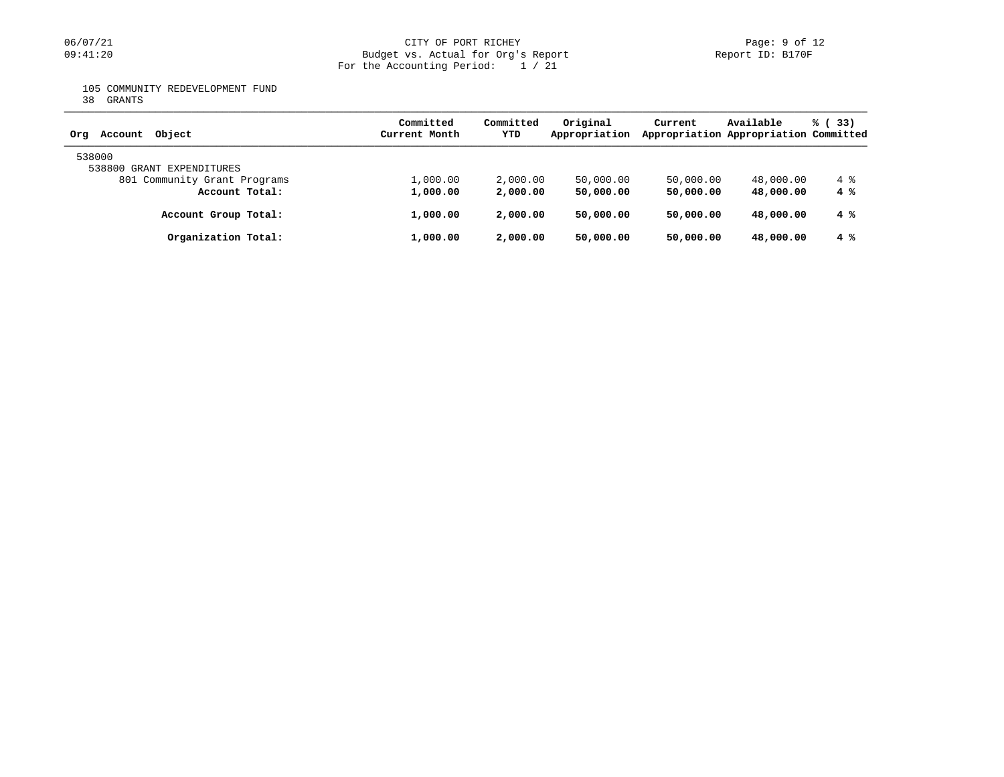# 06/07/21 CITY OF PORT RICHEY Page: 9 of 12<br>
Budget vs. Actual for Org's Report Page: 9 Of 12<br>
Page: 9 of 12<br>
Report ID: B170F Budget vs. Actual for Org's Report For the Accounting Period: 1 / 21

105 COMMUNITY REDEVELOPMENT FUND

38 GRANTS

| Object<br>Account<br>Orq     | Committed<br>Current Month | Committed<br>YTD | Original<br>Appropriation | Current   | Available<br>Appropriation Appropriation Committed | % (33)     |
|------------------------------|----------------------------|------------------|---------------------------|-----------|----------------------------------------------------|------------|
| 538000                       |                            |                  |                           |           |                                                    |            |
| 538800 GRANT EXPENDITURES    |                            |                  |                           |           |                                                    |            |
| 801 Community Grant Programs | 1,000.00                   | 2,000.00         | 50,000.00                 | 50,000.00 | 48,000.00                                          | $4\degree$ |
| Account Total:               | 1,000.00                   | 2,000.00         | 50,000.00                 | 50,000.00 | 48,000,00                                          | 4%         |
| Account Group Total:         | 1,000.00                   | 2,000.00         | 50,000,00                 | 50,000.00 | 48,000,00                                          | 4%         |
| Organization Total:          | 1,000.00                   | 2,000,00         | 50,000,00                 | 50,000.00 | 48,000,00                                          | 4%         |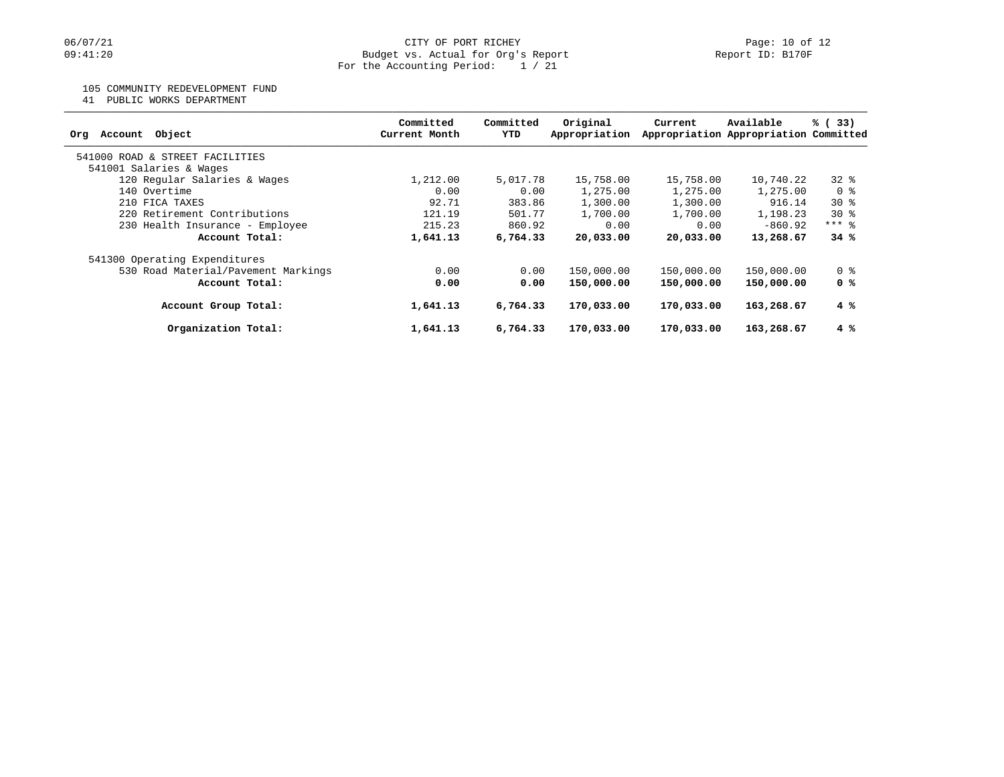## 105 COMMUNITY REDEVELOPMENT FUND

41 PUBLIC WORKS DEPARTMENT

| Object<br>Account<br>Org            | Committed<br>Current Month | Committed<br>YTD | Original<br>Appropriation | Current    | Available<br>Appropriation Appropriation Committed | % (33)       |
|-------------------------------------|----------------------------|------------------|---------------------------|------------|----------------------------------------------------|--------------|
| 541000 ROAD & STREET FACILITIES     |                            |                  |                           |            |                                                    |              |
| 541001 Salaries & Wages             |                            |                  |                           |            |                                                    |              |
| 120 Regular Salaries & Wages        | 1,212.00                   | 5,017.78         | 15,758.00                 | 15,758.00  | 10,740.22                                          | 328          |
| 140 Overtime                        | 0.00                       | 0.00             | 1,275.00                  | 1,275.00   | 1,275.00                                           | 0 %          |
| 210 FICA TAXES                      | 92.71                      | 383.86           | 1,300.00                  | 1,300.00   | 916.14                                             | $30*$        |
| 220 Retirement Contributions        | 121.19                     | 501.77           | 1,700.00                  | 1,700.00   | 1,198.23                                           | $30*$        |
| 230 Health Insurance - Employee     | 215.23                     | 860.92           | 0.00                      | 0.00       | $-860.92$                                          | $***$ 8      |
| Account Total:                      | 1,641.13                   | 6,764.33         | 20,033.00                 | 20,033,00  | 13,268.67                                          | 34%          |
| 541300 Operating Expenditures       |                            |                  |                           |            |                                                    |              |
| 530 Road Material/Pavement Markings | 0.00                       | 0.00             | 150,000.00                | 150,000.00 | 150,000.00                                         | 0 %          |
| Account Total:                      | 0.00                       | 0.00             | 150,000.00                | 150,000.00 | 150,000.00                                         | 0 %          |
| Account Group Total:                | 1,641.13                   | 6,764.33         | 170,033.00                | 170,033.00 | 163,268.67                                         | $4 \text{ }$ |
| Organization Total:                 | 1,641.13                   | 6,764.33         | 170,033.00                | 170,033.00 | 163,268.67                                         | $4 \text{ }$ |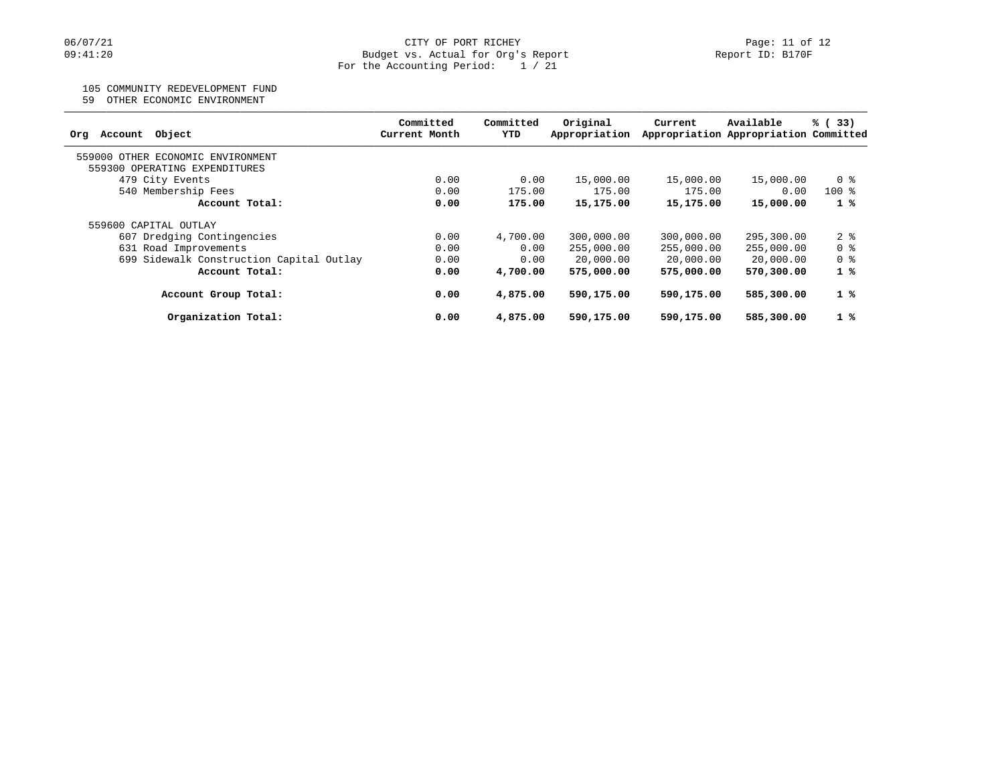### 105 COMMUNITY REDEVELOPMENT FUND

59 OTHER ECONOMIC ENVIRONMENT

| Object<br>Account<br>Ora                 | Committed<br>Current Month | Committed<br>YTD | Original<br>Appropriation | Current    | Available<br>Appropriation Appropriation Committed | % (33)       |
|------------------------------------------|----------------------------|------------------|---------------------------|------------|----------------------------------------------------|--------------|
| 559000<br>OTHER ECONOMIC ENVIRONMENT     |                            |                  |                           |            |                                                    |              |
| 559300 OPERATING EXPENDITURES            |                            |                  |                           |            |                                                    |              |
| 479 City Events                          | 0.00                       | 0.00             | 15,000.00                 | 15,000.00  | 15,000.00                                          | 0 %          |
| 540 Membership Fees                      | 0.00                       | 175.00           | 175.00                    | 175.00     | 0.00                                               | $100*$       |
| Account Total:                           | 0.00                       | 175.00           | 15,175.00                 | 15,175.00  | 15,000.00                                          | $1 \degree$  |
| 559600 CAPITAL OUTLAY                    |                            |                  |                           |            |                                                    |              |
| 607 Dredging Contingencies               | 0.00                       | 4,700.00         | 300,000.00                | 300,000.00 | 295,300.00                                         | 28           |
| 631 Road Improvements                    | 0.00                       | 0.00             | 255,000.00                | 255,000.00 | 255,000.00                                         | 0 %          |
| 699 Sidewalk Construction Capital Outlay | 0.00                       | 0.00             | 20,000.00                 | 20,000.00  | 20,000.00                                          | 0 %          |
| Account Total:                           | 0.00                       | 4,700.00         | 575,000.00                | 575,000.00 | 570,300.00                                         | $1 \text{ }$ |
| Account Group Total:                     | 0.00                       | 4,875.00         | 590,175.00                | 590,175.00 | 585,300.00                                         | $1 \degree$  |
| Organization Total:                      | 0.00                       | 4,875.00         | 590,175.00                | 590,175.00 | 585,300.00                                         | 1%           |